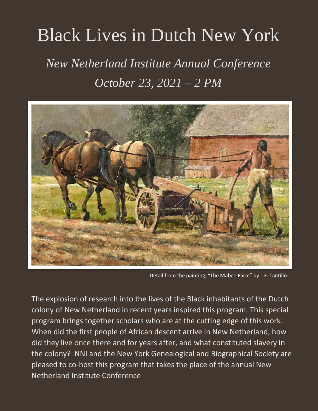## Black Lives in Dutch New York

## *New Netherland Institute Annual Conference October 23, 2021 – 2 PM*



Detail from the painting, "The Mabee Farm" by L.F. Tantillo

The explosion of research into the lives of the Black inhabitants of the Dutch colony of New Netherland in recent years inspired this program. This special program brings together scholars who are at the cutting edge of this work. When did the first people of African descent arrive in New Netherland, how did they live once there and for years after, and what constituted slavery in the colony? NNI and the New York Genealogical and Biographical Society are pleased to co-host this program that takes the place of the annual New Netherland Institute Conference